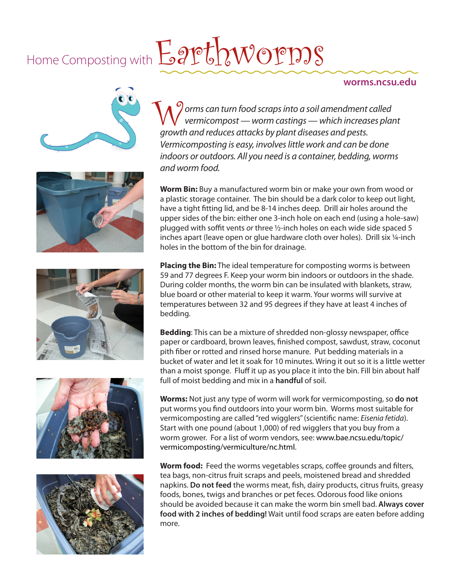## Home Composting with  $E$  are  $t$   $\sim$   $W$  or  $\sim$   $s$

## **worms.ncsu.edu**











*orms can turn food scraps into a soil amendment called vermicompost — worm castings — which increases plant growth and reduces attacks by plant diseases and pests. Vermicomposting is easy, involves little work and can be done indoors or outdoors. All you need is a container, bedding, worms and worm food.*  W<sup>9</sup>

**Worm Bin:** Buy a manufactured worm bin or make your own from wood or a plastic storage container. The bin should be a dark color to keep out light, have a tight fitting lid, and be 8-14 inches deep. Drill air holes around the upper sides of the bin: either one 3-inch hole on each end (using a hole-saw) plugged with soffit vents *or* three ½-inch holes on each wide side spaced 5 inches apart (leave open or glue hardware cloth over holes). Drill six ¼-inch holes in the bottom of the bin for drainage.

**Placing the Bin:** The ideal temperature for composting worms is between 59 and 77 degrees F. Keep your worm bin indoors or outdoors in the shade. During colder months, the worm bin can be insulated with blankets, straw, blue board or other material to keep it warm. Your worms will survive at temperatures between 32 and 95 degrees if they have at least 4 inches of bedding.

**Bedding**: This can be a mixture of shredded non-glossy newspaper, office paper or cardboard, brown leaves, finished compost, sawdust, straw, coconut pith fiber or rotted and rinsed horse manure. Put bedding materials in a bucket of water and let it soak for 10 minutes. Wring it out so it is a little wetter than a moist sponge. Fluff it up as you place it into the bin. Fill bin about half full of moist bedding and mix in a **handful** of soil.

**Worms:** Not just any type of worm will work for vermicomposting, so **do not** put worms you find outdoors into your worm bin. Worms most suitable for vermicomposting are called "red wigglers" (scientific name: *Eisenia fetida*). Start with one pound (about 1,000) of red wigglers that you buy from a worm grower. For a list of worm vendors, see: [www.bae.ncsu.edu/topic/](http://www.bae.ncsu.edu/topic/vermicomposting/vermiculture/nc.html) [vermicomposting/vermiculture/nc.html.](http://www.bae.ncsu.edu/topic/vermicomposting/vermiculture/nc.html)

**Worm food:** Feed the worms vegetables scraps, coffee grounds and filters, tea bags, non-citrus fruit scraps and peels, moistened bread and shredded napkins. **Do not feed** the worms meat, fish, dairy products, citrus fruits, greasy foods, bones, twigs and branches or pet feces*.* Odorous food like onions should be avoided because it can make the worm bin smell bad. **Always cover food with 2 inches of bedding!** Wait until food scraps are eaten before adding more.